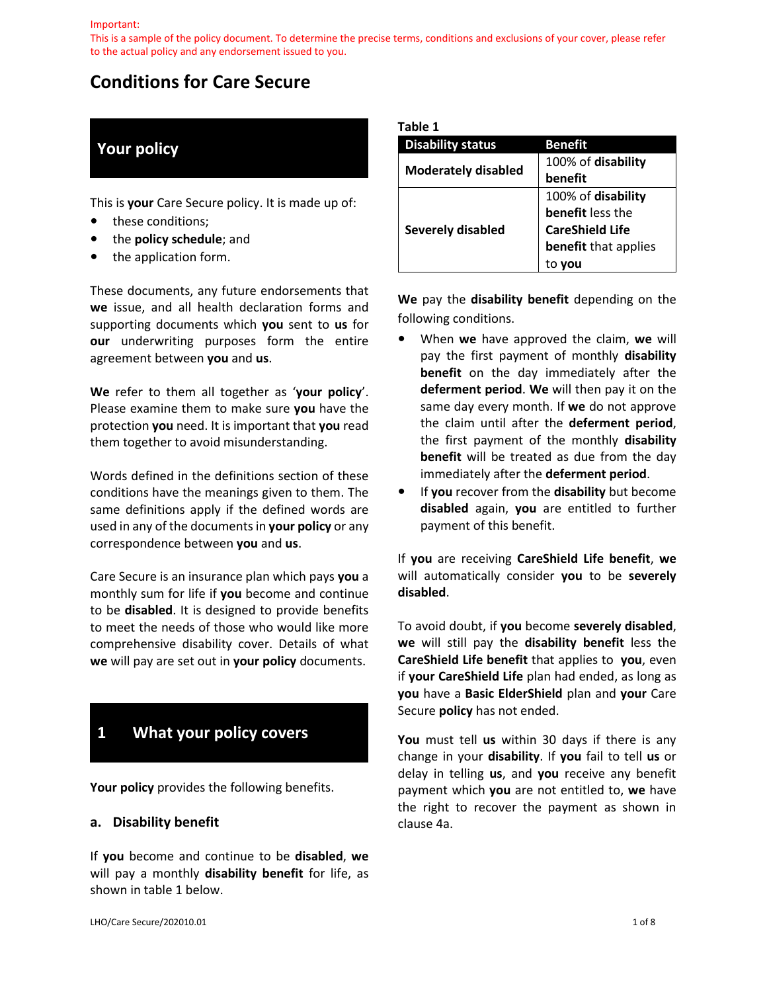This is a sample of the policy document. To determine the precise terms, conditions and exclusions of your cover, please refer to the actual policy and any endorsement issued to you.

# **Conditions for Care Secure**

# **Your policy**

This is **your** Care Secure policy. It is made up of:

- **•** these conditions;
- **•** the **policy schedule**; and
- **•** the application form.

These documents, any future endorsements that **we** issue, and all health declaration forms and supporting documents which **you** sent to **us** for **our** underwriting purposes form the entire agreement between **you** and **us**.

**We** refer to them all together as '**your policy**'. Please examine them to make sure **you** have the protection **you** need. It is important that **you** read them together to avoid misunderstanding.

Words defined in the definitions section of these conditions have the meanings given to them. The same definitions apply if the defined words are used in any of the documents in **your policy** or any correspondence between **you** and **us**.

Care Secure is an insurance plan which pays **you** a monthly sum for life if **you** become and continue to be **disabled**. It is designed to provide benefits to meet the needs of those who would like more comprehensive disability cover. Details of what **we** will pay are set out in **your policy** documents.

# **1 What your policy covers**

**Your policy** provides the following benefits.

#### **a. Disability benefit**

If **you** become and continue to be **disabled**, **we**  will pay a monthly **disability benefit** for life, as shown in table 1 below.

| ×<br>×<br>۰.<br>e e | п. | ι |  |  |
|---------------------|----|---|--|--|
|---------------------|----|---|--|--|

| <b>Disability status</b>   | Benefit                |  |
|----------------------------|------------------------|--|
|                            | 100% of disability     |  |
| <b>Moderately disabled</b> | benefit                |  |
|                            | 100% of disability     |  |
|                            | benefit less the       |  |
| <b>Severely disabled</b>   | <b>CareShield Life</b> |  |
|                            | benefit that applies   |  |
|                            |                        |  |

**We** pay the **disability benefit** depending on the following conditions.

- **•** When **we** have approved the claim, **we** will pay the first payment of monthly **disability benefit** on the day immediately after the **deferment period**. **We** will then pay it on the same day every month. If **we** do not approve the claim until after the **deferment period**, the first payment of the monthly **disability benefit** will be treated as due from the day immediately after the **deferment period**.
- **•** If **you** recover from the **disability** but become **disabled** again, **you** are entitled to further payment of this benefit.

If **you** are receiving **CareShield Life benefit**, **we**  will automatically consider **you** to be **severely disabled**.

To avoid doubt, if **you** become **severely disabled**, **we** will still pay the **disability benefit** less the **CareShield Life benefit** that applies to **you**, even if **your CareShield Life** plan had ended, as long as **you** have a **Basic ElderShield** plan and **your** Care Secure **policy** has not ended.

**You** must tell **us** within 30 days if there is any change in your **disability**. If **you** fail to tell **us** or delay in telling **us**, and **you** receive any benefit payment which **you** are not entitled to, **we** have the right to recover the payment as shown in clause 4a.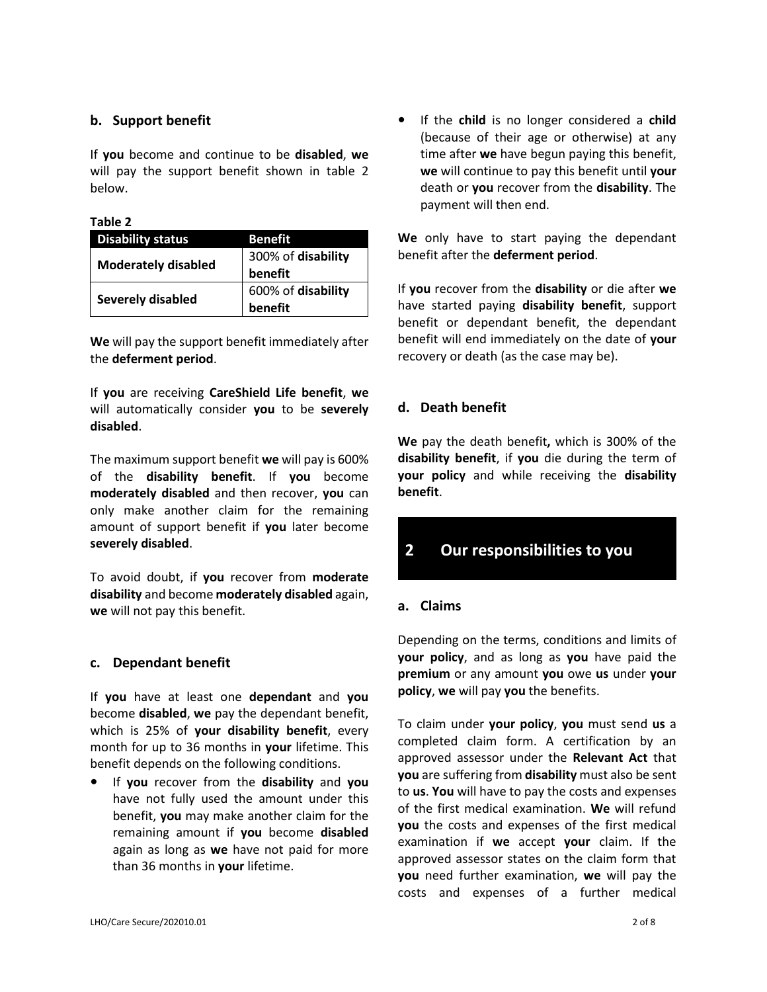## **b. Support benefit**

If **you** become and continue to be **disabled**, **we**  will pay the support benefit shown in table 2 below.

#### **Table 2**

| <b>Disability status</b>   | Benefit            |  |
|----------------------------|--------------------|--|
| <b>Moderately disabled</b> | 300% of disability |  |
|                            | benefit            |  |
|                            | 600% of disability |  |
| Severely disabled          | benefit            |  |

**We** will pay the support benefit immediately after the **deferment period**.

If **you** are receiving **CareShield Life benefit**, **we**  will automatically consider **you** to be **severely disabled**.

The maximum support benefit **we** will pay is 600% of the **disability benefit**. If **you** become **moderately disabled** and then recover, **you** can only make another claim for the remaining amount of support benefit if **you** later become **severely disabled**.

To avoid doubt, if **you** recover from **moderate disability** and become **moderately disabled** again, **we** will not pay this benefit.

### **c. Dependant benefit**

If **you** have at least one **dependant** and **you**  become **disabled**, **we** pay the dependant benefit, which is 25% of **your disability benefit**, every month for up to 36 months in **your** lifetime. This benefit depends on the following conditions.

**•** If **you** recover from the **disability** and **you**  have not fully used the amount under this benefit, **you** may make another claim for the remaining amount if **you** become **disabled**  again as long as **we** have not paid for more than 36 months in **your** lifetime.

**•** If the **child** is no longer considered a **child**  (because of their age or otherwise) at any time after **we** have begun paying this benefit, **we** will continue to pay this benefit until **your**  death or **you** recover from the **disability**. The payment will then end.

**We** only have to start paying the dependant benefit after the **deferment period**.

If **you** recover from the **disability** or die after **we**  have started paying **disability benefit**, support benefit or dependant benefit, the dependant benefit will end immediately on the date of **your**  recovery or death (as the case may be).

# **d. Death benefit**

**We** pay the death benefit**,** which is 300% of the **disability benefit**, if **you** die during the term of **your policy** and while receiving the **disability benefit**.

# **2 Our responsibilities to you**

### **a. Claims**

Depending on the terms, conditions and limits of **your policy**, and as long as **you** have paid the **premium** or any amount **you** owe **us** under **your policy**, **we** will pay **you** the benefits.

To claim under **your policy**, **you** must send **us** a completed claim form. A certification by an approved assessor under the **Relevant Act** that **you** are suffering from **disability** must also be sent to **us**. **You** will have to pay the costs and expenses of the first medical examination. **We** will refund **you** the costs and expenses of the first medical examination if **we** accept **your** claim. If the approved assessor states on the claim form that **you** need further examination, **we** will pay the costs and expenses of a further medical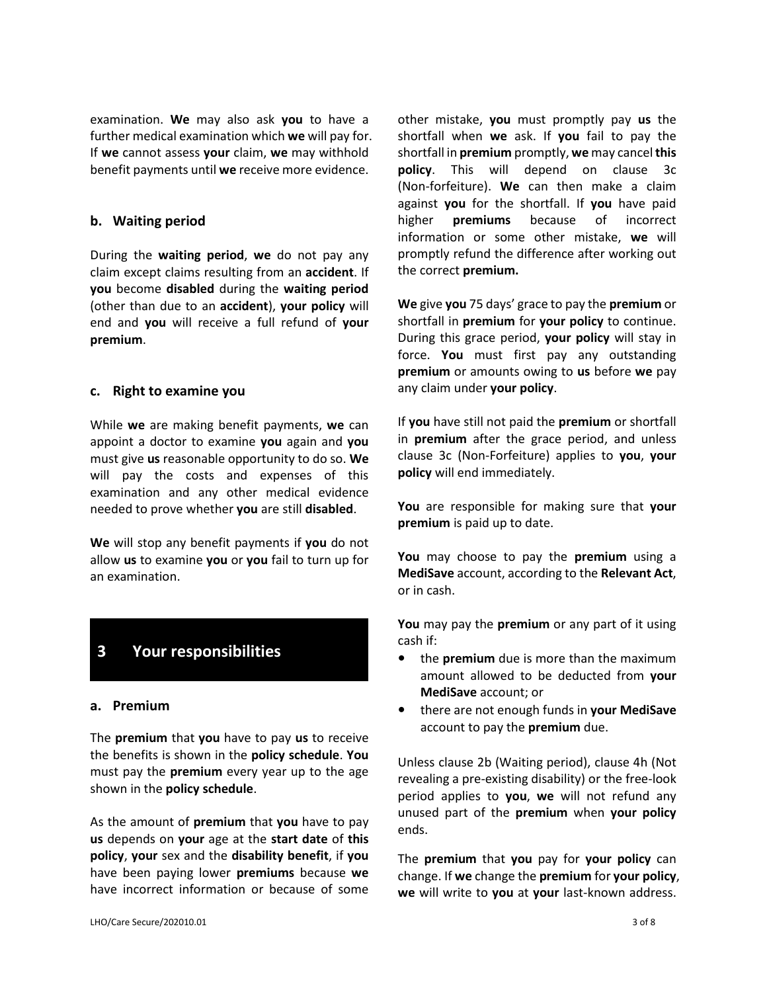examination. **We** may also ask **you** to have a further medical examination which **we** will pay for. If **we** cannot assess **your** claim, **we** may withhold benefit payments until **we** receive more evidence.

#### **b. Waiting period**

During the **waiting period**, **we** do not pay any claim except claims resulting from an **accident**. If **you** become **disabled** during the **waiting period** (other than due to an **accident**), **your policy** will end and **you** will receive a full refund of **your premium**.

#### **c. Right to examine you**

While **we** are making benefit payments, **we** can appoint a doctor to examine **you** again and **you**  must give **us** reasonable opportunity to do so. **We**  will pay the costs and expenses of this examination and any other medical evidence needed to prove whether **you** are still **disabled**.

**We** will stop any benefit payments if **you** do not allow **us** to examine **you** or **you** fail to turn up for an examination.

# **3 Your responsibilities**

#### **a. Premium**

The **premium** that **you** have to pay **us** to receive the benefits is shown in the **policy schedule**. **You**  must pay the **premium** every year up to the age shown in the **policy schedule**.

As the amount of **premium** that **you** have to pay **us** depends on **your** age at the **start date** of **this policy**, **your** sex and the **disability benefit**, if **you**  have been paying lower **premiums** because **we**  have incorrect information or because of some

other mistake, **you** must promptly pay **us** the shortfall when **we** ask. If **you** fail to pay the shortfall in **premium** promptly, **we** may cancel **this policy**. This will depend on clause 3c (Non-forfeiture). **We** can then make a claim against **you** for the shortfall. If **you** have paid higher **premiums** because of incorrect information or some other mistake, **we** will promptly refund the difference after working out the correct **premium.**

**We** give **you** 75 days' grace to pay the **premium** or shortfall in **premium** for **your policy** to continue. During this grace period, **your policy** will stay in force. **You** must first pay any outstanding **premium** or amounts owing to **us** before **we** pay any claim under **your policy**.

If **you** have still not paid the **premium** or shortfall in **premium** after the grace period, and unless clause 3c (Non-Forfeiture) applies to **you**, **your policy** will end immediately.

**You** are responsible for making sure that **your premium** is paid up to date.

**You** may choose to pay the **premium** using a **MediSave** account, according to the **Relevant Act**, or in cash.

**You** may pay the **premium** or any part of it using cash if:

- **•** the **premium** due is more than the maximum amount allowed to be deducted from **your MediSave** account; or
- **•** there are not enough funds in **your MediSave**  account to pay the **premium** due.

Unless clause 2b (Waiting period), clause 4h (Not revealing a pre-existing disability) or the free-look period applies to **you**, **we** will not refund any unused part of the **premium** when **your policy** ends.

The **premium** that **you** pay for **your policy** can change. If **we** change the **premium** for **your policy**, **we** will write to **you** at **your** last-known address.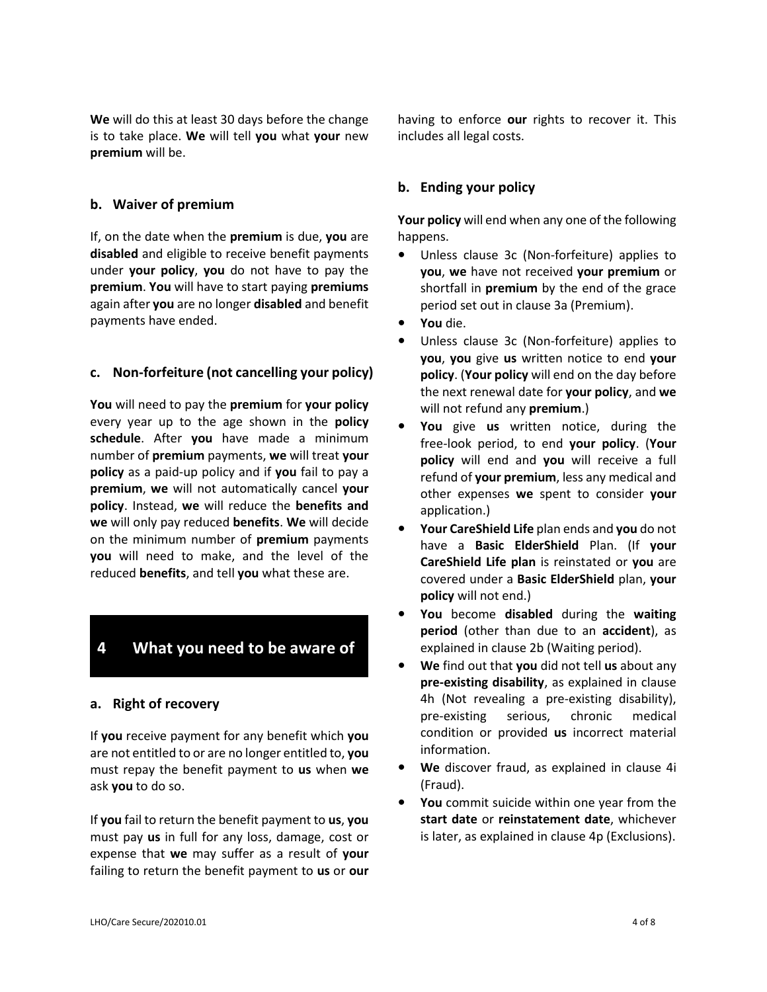**We** will do this at least 30 days before the change is to take place. **We** will tell **you** what **your** new **premium** will be.

## **b. Waiver of premium**

If, on the date when the **premium** is due, **you** are **disabled** and eligible to receive benefit payments under **your policy**, **you** do not have to pay the **premium**. **You** will have to start paying **premiums**  again after **you** are no longer **disabled** and benefit payments have ended.

## **c. Non-forfeiture (not cancelling your policy)**

**You** will need to pay the **premium** for **your policy** every year up to the age shown in the **policy schedule**. After **you** have made a minimum number of **premium** payments, **we** will treat **your policy** as a paid-up policy and if **you** fail to pay a **premium**, **we** will not automatically cancel **your policy**. Instead, **we** will reduce the **benefits and we** will only pay reduced **benefits**. **We** will decide on the minimum number of **premium** payments **you** will need to make, and the level of the reduced **benefits**, and tell **you** what these are.

# **4 What you need to be aware of**

### **a. Right of recovery**

If **you** receive payment for any benefit which **you**  are not entitled to or are no longer entitled to, **you**  must repay the benefit payment to **us** when **we**  ask **you** to do so.

If **you** fail to return the benefit payment to **us**, **you**  must pay **us** in full for any loss, damage, cost or expense that **we** may suffer as a result of **your**  failing to return the benefit payment to **us** or **our** 

having to enforce **our** rights to recover it. This includes all legal costs.

# **b. Ending your policy**

**Your policy** will end when any one of the following happens.

- **•** Unless clause 3c (Non-forfeiture) applies to **you**, **we** have not received **your premium** or shortfall in **premium** by the end of the grace period set out in clause 3a (Premium).
- **• You** die.
- **•** Unless clause 3c (Non-forfeiture) applies to **you**, **you** give **us** written notice to end **your policy**. (**Your policy** will end on the day before the next renewal date for **your policy**, and **we** will not refund any **premium**.)
- **• You** give **us** written notice, during the free-look period, to end **your policy**. (**Your policy** will end and **you** will receive a full refund of **your premium**, less any medical and other expenses **we** spent to consider **your** application.)
- **• Your CareShield Life** plan ends and **you** do not have a **Basic ElderShield** Plan. (If **your CareShield Life plan** is reinstated or **you** are covered under a **Basic ElderShield** plan, **your policy** will not end.)
- **• You** become **disabled** during the **waiting period** (other than due to an **accident**), as explained in clause 2b (Waiting period).
- **• We** find out that **you** did not tell **us** about any **pre-existing disability**, as explained in clause 4h (Not revealing a pre-existing disability), pre-existing serious, chronic medical condition or provided **us** incorrect material information.
- **• We** discover fraud, as explained in clause 4i (Fraud).
- **• You** commit suicide within one year from the **start date** or **reinstatement date**, whichever is later, as explained in clause 4p (Exclusions).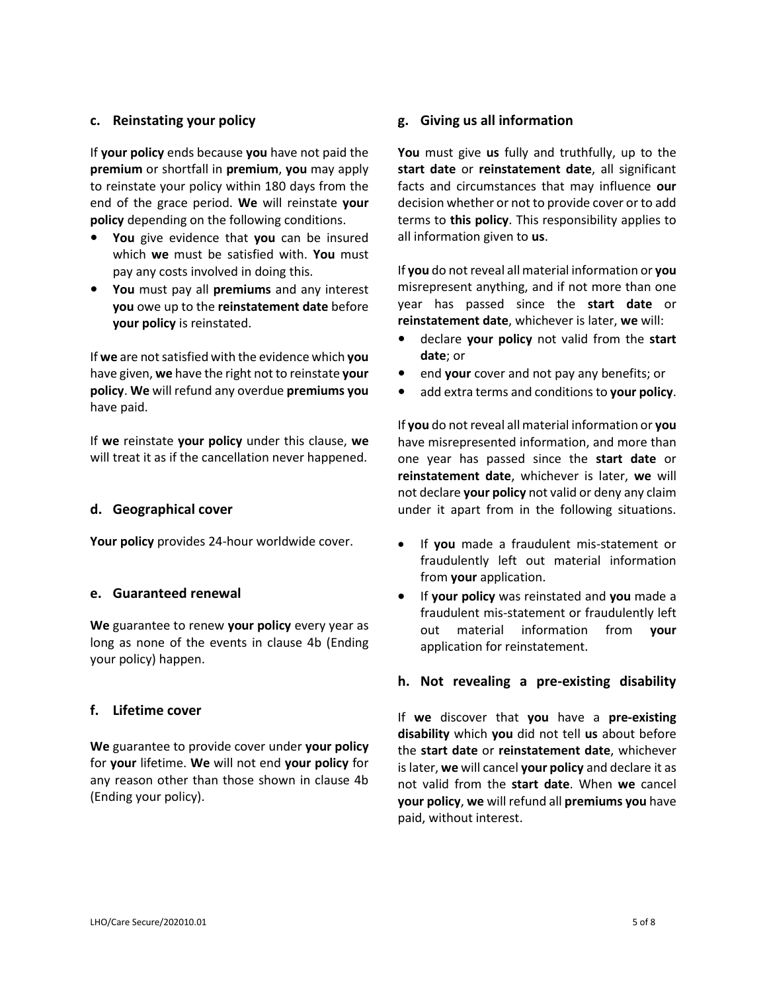### **c. Reinstating your policy**

If **your policy** ends because **you** have not paid the **premium** or shortfall in **premium**, **you** may apply to reinstate your policy within 180 days from the end of the grace period. **We** will reinstate **your policy** depending on the following conditions.

- **• You** give evidence that **you** can be insured which **we** must be satisfied with. **You** must pay any costs involved in doing this.
- **• You** must pay all **premiums** and any interest **you** owe up to the **reinstatement date** before **your policy** is reinstated.

If **we** are not satisfied with the evidence which **you**  have given, **we** have the right not to reinstate **your policy**. **We** will refund any overdue **premiums you** have paid.

If **we** reinstate **your policy** under this clause, **we** will treat it as if the cancellation never happened.

### **d. Geographical cover**

**Your policy** provides 24-hour worldwide cover.

#### **e. Guaranteed renewal**

**We** guarantee to renew **your policy** every year as long as none of the events in clause 4b (Ending your policy) happen.

#### **f. Lifetime cover**

**We** guarantee to provide cover under **your policy** for **your** lifetime. **We** will not end **your policy** for any reason other than those shown in clause 4b (Ending your policy).

#### **g. Giving us all information**

**You** must give **us** fully and truthfully, up to the **start date** or **reinstatement date**, all significant facts and circumstances that may influence **our**  decision whether or not to provide cover or to add terms to **this policy**. This responsibility applies to all information given to **us**.

If **you** do not reveal all material information or **you**  misrepresent anything, and if not more than one year has passed since the **start date** or **reinstatement date**, whichever is later, **we** will:

- **•** declare **your policy** not valid from the **start date**; or
- **•** end **your** cover and not pay any benefits; or
- **•** add extra terms and conditions to **your policy**.

If **you** do not reveal all material information or **you**  have misrepresented information, and more than one year has passed since the **start date** or **reinstatement date**, whichever is later, **we** will not declare **your policy** not valid or deny any claim under it apart from in the following situations.

- If **you** made a fraudulent mis-statement or fraudulently left out material information from **your** application.
- If **your policy** was reinstated and **you** made a fraudulent mis-statement or fraudulently left out material information from **your**  application for reinstatement.

### **h. Not revealing a pre-existing disability**

If **we** discover that **you** have a **pre-existing disability** which **you** did not tell **us** about before the **start date** or **reinstatement date**, whichever is later, **we** will cancel **your policy** and declare it as not valid from the **start date**. When **we** cancel **your policy**, **we** will refund all **premiums you** have paid, without interest.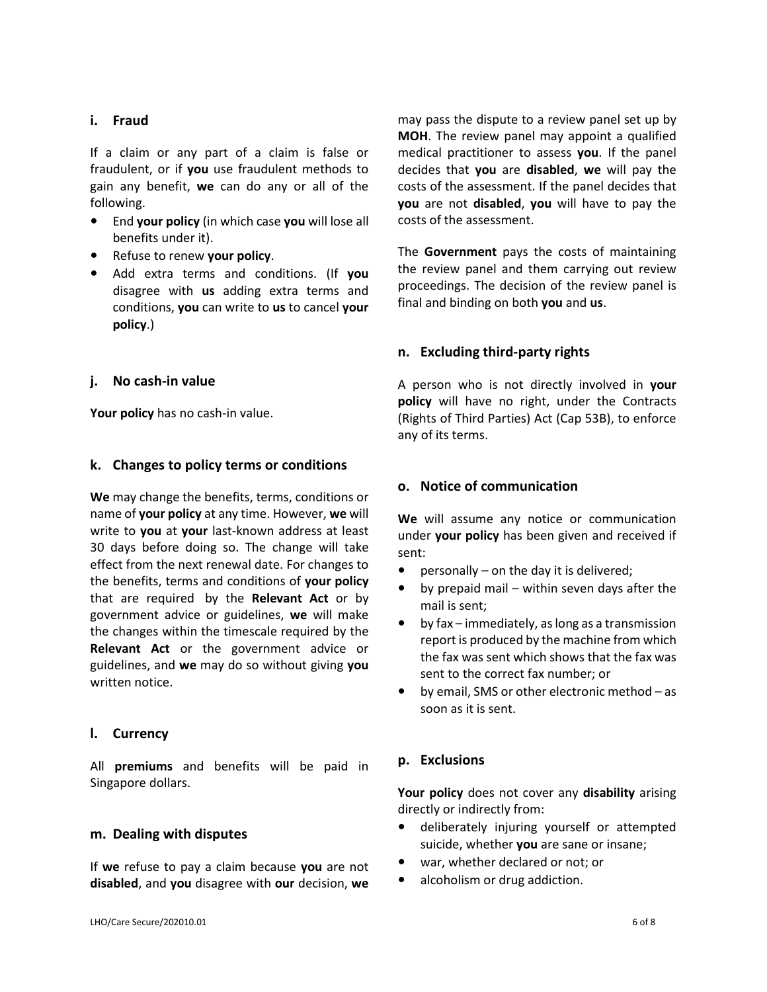## **i. Fraud**

If a claim or any part of a claim is false or fraudulent, or if **you** use fraudulent methods to gain any benefit, **we** can do any or all of the following.

- **•** End **your policy** (in which case **you** will lose all benefits under it).
- **•** Refuse to renew **your policy**.
- **•** Add extra terms and conditions. (If **you**  disagree with **us** adding extra terms and conditions, **you** can write to **us** to cancel **your policy**.)

## **j. No cash-in value**

**Your policy** has no cash-in value.

### **k. Changes to policy terms or conditions**

**We** may change the benefits, terms, conditions or name of **your policy** at any time. However, **we** will write to **you** at **your** last-known address at least 30 days before doing so. The change will take effect from the next renewal date. For changes to the benefits, terms and conditions of **your policy**  that are required by the **Relevant Act** or by government advice or guidelines, **we** will make the changes within the timescale required by the **Relevant Act** or the government advice or guidelines, and **we** may do so without giving **you** written notice.

### **l. Currency**

All **premiums** and benefits will be paid in Singapore dollars.

## **m. Dealing with disputes**

If **we** refuse to pay a claim because **you** are not **disabled**, and **you** disagree with **our** decision, **we**  may pass the dispute to a review panel set up by **MOH**. The review panel may appoint a qualified medical practitioner to assess **you**. If the panel decides that **you** are **disabled**, **we** will pay the costs of the assessment. If the panel decides that **you** are not **disabled**, **you** will have to pay the costs of the assessment.

The **Government** pays the costs of maintaining the review panel and them carrying out review proceedings. The decision of the review panel is final and binding on both **you** and **us**.

### **n. Excluding third-party rights**

A person who is not directly involved in **your policy** will have no right, under the Contracts (Rights of Third Parties) Act (Cap 53B), to enforce any of its terms.

### **o. Notice of communication**

**We** will assume any notice or communication under **your policy** has been given and received if sent:

- **•** personally on the day it is delivered;
- **•** by prepaid mail within seven days after the mail is sent;
- **•** by fax immediately, as long as a transmission report is produced by the machine from which the fax was sent which shows that the fax was sent to the correct fax number; or
- **•** by email, SMS or other electronic method as soon as it is sent.

# **p. Exclusions**

**Your policy** does not cover any **disability** arising directly or indirectly from:

- **•** deliberately injuring yourself or attempted suicide, whether **you** are sane or insane;
- **•** war, whether declared or not; or
- **•** alcoholism or drug addiction.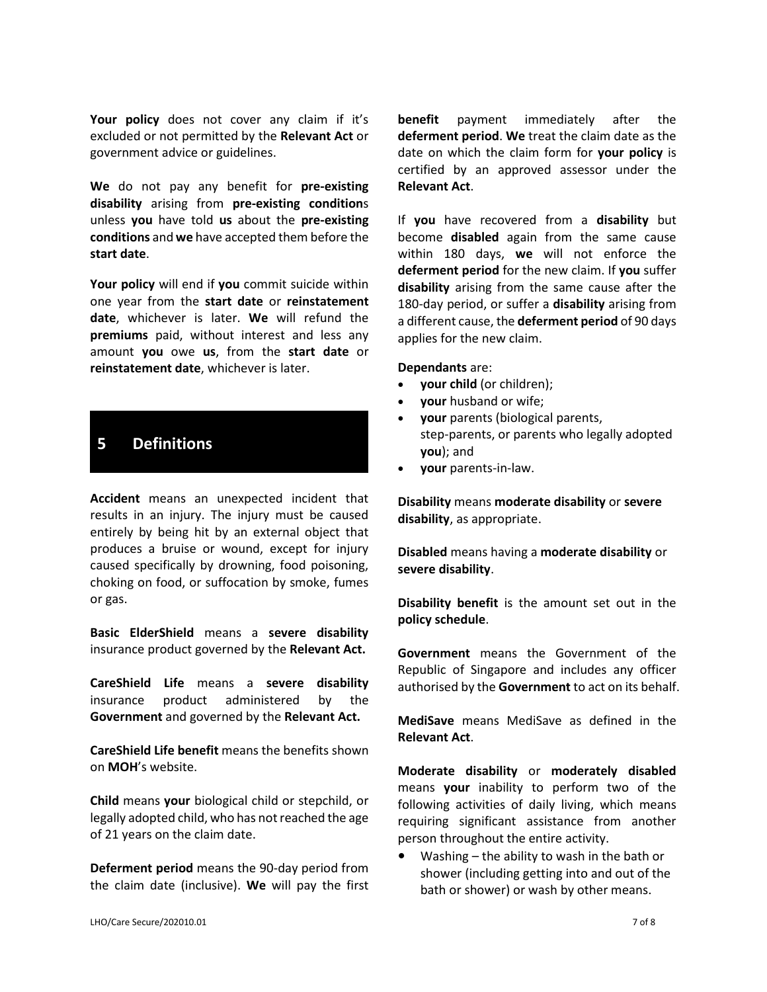Your policy does not cover any claim if it's excluded or not permitted by the **Relevant Act** or government advice or guidelines.

**We** do not pay any benefit for **pre-existing disability** arising from **pre-existing condition**s unless **you** have told **us** about the **pre-existing conditions** and **we** have accepted them before the **start date**.

**Your policy** will end if **you** commit suicide within one year from the **start date** or **reinstatement date**, whichever is later. **We** will refund the **premiums** paid, without interest and less any amount **you** owe **us**, from the **start date** or **reinstatement date**, whichever is later.

# **5 Definitions**

**Accident** means an unexpected incident that results in an injury. The injury must be caused entirely by being hit by an external object that produces a bruise or wound, except for injury caused specifically by drowning, food poisoning, choking on food, or suffocation by smoke, fumes or gas.

**Basic ElderShield** means a **severe disability**  insurance product governed by the **Relevant Act.**

**CareShield Life** means a **severe disability**  insurance product administered by the **Government** and governed by the **Relevant Act.**

**CareShield Life benefit** means the benefits shown on **MOH**'s website.

**Child** means **your** biological child or stepchild, or legally adopted child, who has not reached the age of 21 years on the claim date.

**Deferment period** means the 90-day period from the claim date (inclusive). **We** will pay the first **benefit** payment immediately after the **deferment period**. **We** treat the claim date as the date on which the claim form for **your policy** is certified by an approved assessor under the **Relevant Act**.

If **you** have recovered from a **disability** but become **disabled** again from the same cause within 180 days, **we** will not enforce the **deferment period** for the new claim. If **you** suffer **disability** arising from the same cause after the 180-day period, or suffer a **disability** arising from a different cause, the **deferment period** of 90 days applies for the new claim.

#### **Dependants** are:

- **your child** (or children);
- **your** husband or wife;
- **your** parents (biological parents, step-parents, or parents who legally adopted **you**); and
- **your** parents-in-law.

**Disability** means **moderate disability** or **severe disability**, as appropriate.

**Disabled** means having a **moderate disability** or **severe disability**.

**Disability benefit** is the amount set out in the **policy schedule**.

**Government** means the Government of the Republic of Singapore and includes any officer authorised by the **Government** to act on its behalf.

**MediSave** means MediSave as defined in the **Relevant Act**.

**Moderate disability** or **moderately disabled**  means **your** inability to perform two of the following activities of daily living, which means requiring significant assistance from another person throughout the entire activity.

**•** Washing – the ability to wash in the bath or shower (including getting into and out of the bath or shower) or wash by other means.